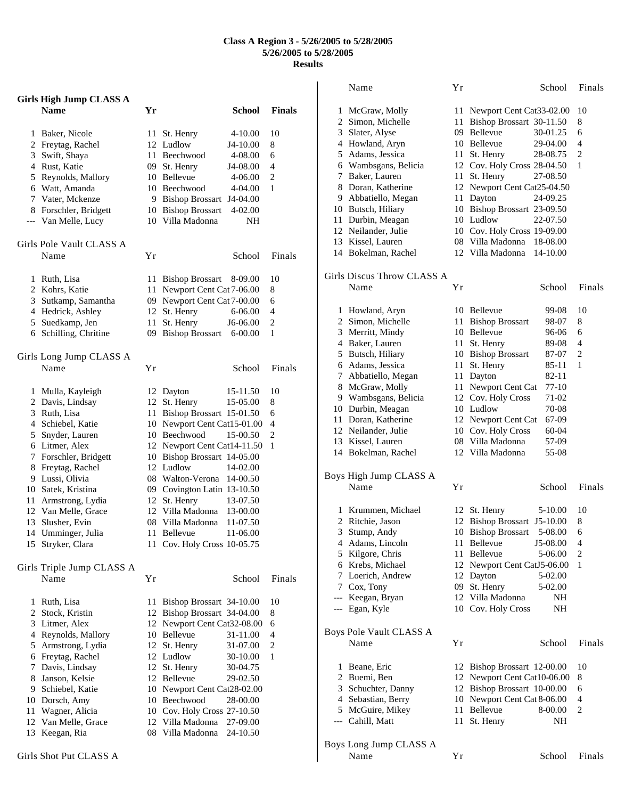## **Class A Region 3 - 5/26/2005 to 5/28/2005 5/26/2005 to 5/28/2005 Results**

|    | <b>Girls High Jump CLASS A</b><br><b>Name</b> | Yr | <b>School</b>                                | <b>Finals</b>  |
|----|-----------------------------------------------|----|----------------------------------------------|----------------|
|    | 1 Baker, Nicole                               | 11 | 4-10.00<br>St. Henry                         | 10             |
|    | 2 Freytag, Rachel                             |    | 12 Ludlow<br>J4-10.00                        | 8              |
|    | 3 Swift, Shaya                                |    | 11 Beechwood<br>4-08.00                      | 6              |
|    | 4 Rust, Katie                                 |    | 09 St. Henry<br>J4-08.00                     | 4              |
|    | 5 Reynolds, Mallory                           |    | 10 Bellevue<br>4-06.00                       | 2              |
|    | 6 Watt, Amanda                                |    | 10 Beechwood<br>4-04.00                      | 1              |
|    | 7 Vater, Mckenze                              |    | 9 Bishop Brossart J4-04.00                   |                |
|    | 8 Forschler, Bridgett                         |    | 10 Bishop Brossart<br>4-02.00                |                |
|    | --- Van Melle, Lucy                           |    | 10 Villa Madonna<br>NΗ                       |                |
|    | Girls Pole Vault CLASS A<br>Name              | Υr | School                                       | Finals         |
|    | 1 Ruth, Lisa                                  | 11 | <b>Bishop Brossart</b><br>8-09.00            | 10             |
|    | 2 Kohrs, Katie                                | 11 | Newport Cent Cat 7-06.00                     | 8              |
|    | 3 Sutkamp, Samantha                           |    | 09 Newport Cent Cat 7-00.00                  | 6              |
|    | 4 Hedrick, Ashley                             |    | 12 St. Henry<br>6-06.00                      | 4              |
|    | 5 Suedkamp, Jen                               | 11 | St. Henry<br>J6-06.00                        | $\overline{c}$ |
|    | 6 Schilling, Chritine                         | 09 | Bishop Brossart 6-00.00                      | 1              |
|    | Girls Long Jump CLASS A<br>Name               | Υr | School                                       | Finals         |
|    |                                               |    |                                              |                |
| 1  | Mulla, Kayleigh                               |    | 12 Dayton<br>15-11.50                        | 10             |
|    | 2 Davis, Lindsay                              |    | 12 St. Henry<br>15-05.00                     | 8              |
|    | 3 Ruth, Lisa                                  |    | 11 Bishop Brossart 15-01.50                  | 6              |
|    | 4 Schiebel, Katie                             |    | 10 Newport Cent Cat15-01.00                  | 4              |
|    | 5 Snyder, Lauren                              |    | 10 Beechwood<br>15-00.50                     | 2              |
|    | 6 Litmer, Alex                                |    | 12 Newport Cent Cat14-11.50                  | 1              |
|    | 7 Forschler, Bridgett                         |    | 10 Bishop Brossart 14-05.00                  |                |
|    | 8 Freytag, Rachel                             |    | 12 Ludlow<br>14-02.00                        |                |
|    | 9 Lussi, Olivia                               |    | 08 Walton-Verona<br>14-00.50                 |                |
|    | 10 Satek, Kristina                            |    | 09 Covington Latin 13-10.50                  |                |
|    | 11 Armstrong, Lydia                           |    | 12 St. Henry<br>13-07.50<br>12 Villa Madonna |                |
| 13 | 12 Van Melle, Grace<br>Slusher, Evin          |    | 13-00.00<br>08 Villa Madonna<br>11-07.50     |                |
| 14 | Umminger, Julia                               |    | 11 Bellevue<br>11-06.00                      |                |
| 15 | Stryker, Clara                                |    | 11 Cov. Holy Cross 10-05.75                  |                |
|    | Girls Triple Jump CLASS A                     |    |                                              |                |
|    | Name                                          | Υr | School                                       | Finals         |
| 1  | Ruth, Lisa                                    |    | 11 Bishop Brossart 34-10.00                  | 10             |
|    | 2 Stock, Kristin                              |    | 12 Bishop Brossart 34-04.00                  | 8              |
|    | 3 Litmer, Alex                                |    | 12 Newport Cent Cat32-08.00                  | 6              |
|    | 4 Reynolds, Mallory                           |    | 10 Bellevue<br>31-11.00                      | 4              |
|    | 5 Armstrong, Lydia                            |    | 31-07.00<br>12 St. Henry                     | 2              |
|    | 6 Freytag, Rachel                             |    | 12 Ludlow<br>30-10.00                        | 1              |
|    | 7 Davis, Lindsay                              |    | 12 St. Henry<br>30-04.75                     |                |
|    | 8 Janson, Kelsie                              |    | 12 Bellevue<br>29-02.50                      |                |
|    | 9 Schiebel, Katie                             |    | 10 Newport Cent Cat28-02.00                  |                |
|    | 10 Dorsch, Amy                                |    | 10 Beechwood<br>28-00.00                     |                |
| 11 | Wagner, Alicia                                |    | 10 Cov. Holy Cross 27-10.50                  |                |
| 12 | Van Melle, Grace                              |    | 12 Villa Madonna<br>27-09.00                 |                |
| 13 | Keegan, Ria                                   |    | 08 Villa Madonna<br>24-10.50                 |                |

| 1     | McGraw, Molly              | 11 | Newport Cent Cat33-02.00          | 10         |
|-------|----------------------------|----|-----------------------------------|------------|
| 2     | Simon, Michelle            | 11 | Bishop Brossart 30-11.50          | 8          |
| 3     | Slater, Alyse              | 09 | Bellevue<br>30-01.25              | 6          |
| 4     | Howland, Aryn              |    | 10 Bellevue<br>29-04.00           | 4          |
|       | 5 Adams, Jessica           | 11 | St. Henry<br>28-08.75             | 2          |
|       | 6 Wambsgans, Belicia       |    | 12 Cov. Holy Cross 28-04.50       | 1          |
| 7     | Baker, Lauren              | 11 | St. Henry<br>27-08.50             |            |
| 8     | Doran, Katherine           | 12 | Newport Cent Cat25-04.50          |            |
| 9     | Abbatiello, Megan          | 11 | Dayton<br>24-09.25                |            |
|       | 10 Butsch, Hiliary         | 10 | Bishop Brossart 23-09.50          |            |
| 11    | Durbin, Meagan             |    | 10 Ludlow<br>22-07.50             |            |
|       | 12 Neilander, Julie        |    | 10 Cov. Holy Cross 19-09.00       |            |
| 13    |                            |    | 08 Villa Madonna<br>18-08.00      |            |
|       | Kissel, Lauren             |    |                                   |            |
|       | 14 Bokelman, Rachel        |    | 12 Villa Madonna<br>14-10.00      |            |
|       | Girls Discus Throw CLASS A |    |                                   |            |
|       | Name                       | Υr | School                            | Finals     |
|       |                            |    |                                   |            |
| 1     | Howland, Aryn              | 10 | Bellevue<br>99-08                 | 10         |
| 2     | Simon, Michelle            | 11 | <b>Bishop Brossart</b><br>98-07   | 8          |
| 3     | Merritt, Mindy             |    | 10 Bellevue<br>96-06              | 6          |
| 4     | Baker, Lauren              | 11 | St. Henry<br>89-08                | 4          |
|       | 5 Butsch, Hiliary          |    | 10 Bishop Brossart<br>87-07       | 2          |
|       | 6 Adams, Jessica           | 11 | St. Henry<br>85-11                | 1          |
| 7     | Abbatiello, Megan          | 11 | Dayton<br>82-11                   |            |
| 8     | McGraw, Molly              | 11 | Newport Cent Cat<br>77-10         |            |
|       | 9 Wambsgans, Belicia       | 12 | Cov. Holy Cross<br>71-02          |            |
|       | 10 Durbin, Meagan          |    | 10 Ludlow<br>70-08                |            |
| 11    | Doran, Katherine           |    | 12 Newport Cent Cat<br>67-09      |            |
|       | 12 Neilander, Julie        |    | 10 Cov. Holy Cross<br>60-04       |            |
| 13    | Kissel, Lauren             |    | 08 Villa Madonna<br>57-09         |            |
|       | 14 Bokelman, Rachel        |    | 12 Villa Madonna<br>55-08         |            |
|       |                            |    |                                   |            |
|       | Boys High Jump CLASS A     |    |                                   |            |
|       | Name                       | Yr | School                            | Finals     |
| 1     | Krummen, Michael           | 12 | St. Henry<br>5-10.00              | 10         |
|       | 2 Ritchie, Jason           | 12 | Bishop Brossart J5-10.00          | 8          |
| 3     | Stump, Andy                | 10 | <b>Bishop Brossart</b><br>5-08.00 | 6          |
| 4     | Adams, Lincoln             | 11 | <b>Bellevue</b><br>J5-08.00       | 4          |
|       | 5 Kilgore, Chris           |    | 11 Bellevue<br>5-06.00            | $\sqrt{2}$ |
|       | 6 Krebs, Michael           |    | 12 Newport Cent CatJ5-06.00       | 1          |
|       | 7 Loerich, Andrew          |    | 12 Dayton<br>5-02.00              |            |
|       | 7 Cox, Tony                | 09 | St. Henry<br>5-02.00              |            |
|       | --- Keegan, Bryan          | 12 | Villa Madonna                     | NH         |
|       | --- Egan, Kyle             | 10 | Cov. Holy Cross                   | NH         |
|       |                            |    |                                   |            |
|       | Boys Pole Vault CLASS A    |    |                                   |            |
|       | Name                       | Yr | School                            | Finals     |
| 1     | Beane, Eric                |    | 12 Bishop Brossart 12-00.00       | 10         |
| 2     | Buemi, Ben                 | 12 | Newport Cent Cat10-06.00          | 8          |
|       | 3 Schuchter, Danny         |    | 12 Bishop Brossart 10-00.00       | 6          |
|       | 4 Sebastian, Berry         |    | 10 Newport Cent Cat 8-06.00       | 4          |
|       |                            |    | 11 Bellevue<br>8-00.00            | 2          |
|       | 5 McGuire, Mikey           | 11 |                                   |            |
| $---$ | Cahill, Matt               |    | St. Henry                         | NH         |
|       | Boys Long Jump CLASS A     |    |                                   |            |
|       | Name                       | Υr | School                            | Finals     |

Name Yr School Finals